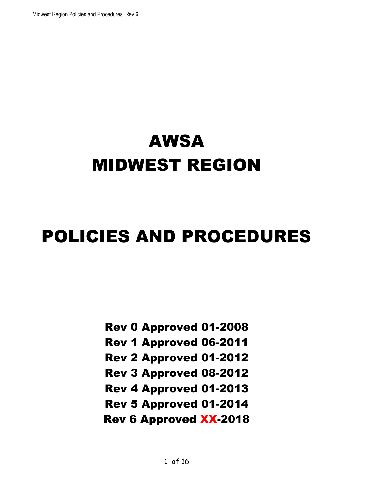# AWSA MIDWEST REGION

# POLICIES AND PROCEDURES

Rev 0 Approved 01-2008

Rev 1 Approved 06-2011

Rev 2 Approved 01-2012

Rev 3 Approved 08-2012

Rev 4 Approved 01-2013

Rev 5 Approved 01-2014

Rev 6 Approved XX-2018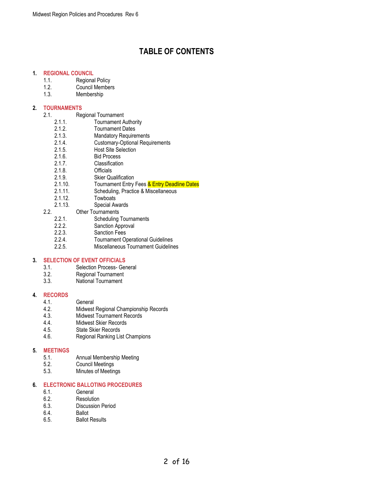## **TABLE OF CONTENTS**

#### <span id="page-1-0"></span>**1. [REGIONAL COUNCIL](#page-3-0)**

- 1.1. Regional Policy
- 1.2. Council Members
- 1.3. Membership

#### **2. [TOURNAMENTS](#page-3-1)**

- 2.1. Regional Tournament
	- 2.1.1. Tournament Authority
	- 2.1.2. Tournament Dates
	- 2.1.3. Mandatory Requirements
	- 2.1.4. Customary-Optional Requirements<br>2.1.5. Host Site Selection
	- Host Site Selection
	- 2.1.6. Bid Process
	- 2.1.7. Classification
	- 2.1.8. Officials
	- 2.1.9. Skier Qualification
	- 2.1.10. Tournament Entry Fees & Entry Deadline Dates
	- 2.1.11. Scheduling, Practice & Miscellaneous
	- 2.1.12. Towboats
	- 2.1.13. Special Awards
- 2.2. Other Tournaments<br>2.2.1. Scheduling
	- 2.2.1. Scheduling Tournaments<br>2.2.2. Sanction Approval
	- 2.2.2. Sanction Approval<br>2.2.3. Sanction Fees
	- 2.2.3. Sanction Fees<br>2.2.4. Tournament Or
	- 2.2.4. Tournament Operational Guidelines
	- Miscellaneous Tournament Guidelines

#### **3. [SELECTION OF EVENT OFFICIALS](#page-5-0)**

- 3.1. Selection Process- General
- 3.2. Regional Tournament
- 3.3. National Tournament

#### **4. [RECORDS](#page-6-0)**

- 4.1. General<br>4.2. Midwest
- 4.2. Midwest Regional Championship Records<br>4.3. Midwest Tournament Records
- Midwest Tournament Records
- 4.4. Midwest Skier Records
- 4.5. State Skier Records
- 4.6. Regional Ranking List Champions

#### **5. [MEETINGS](#page-7-0)**

- 5.1. Annual Membership Meeting
- 5.2. Council Meetings
- 5.3. Minutes of Meetings

#### **6. [ELECTRONIC BALLOTING PROCEDURES](#page-7-1)**

- 6.1. General<br>6.2. Resolutio
- 6.2. Resolution<br>6.3. Discussion
- Discussion Period
- 6.4. Ballot
- 6.5. Ballot Results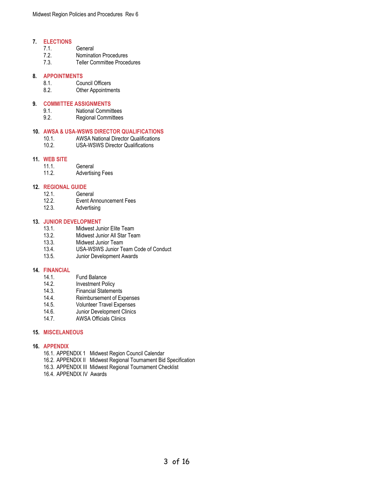#### **7. [ELECTIONS](#page-7-2)**

- 7.1. General
- 7.2. Nomination Procedures
- 7.3. Teller Committee Procedures

#### **8. [APPOINTMENTS](#page-8-0)**

- 8.1. Council Officers
- 8.2. Other Appointments

#### **9. [COMMITTEE ASSIGNMENTS](#page-8-1)**

- 9.1. National Committees
- 9.2. Regional Committees

#### **10. AWSA & USA-WSWS [DIRECTOR QUALIFICATIONS](#page-8-2)**

- 10.1. AWSA National Director Qualifications
- 10.2. USA-WSWS Director Qualifications

#### **11. [WEB SITE](#page-8-3)**

- 11.1. General<br>11.2. Advertisi
- **Advertising Fees**

# **12. [REGIONAL GUIDE](#page-9-0)**

- 12.1. General<br>12.2. Event Ar
- **Event Announcement Fees**
- 12.3. Advertising

#### **13. [JUNIOR DEVELOPMENT](#page-9-1)**

- 13.1. Midwest Junior Elite Team
- 13.2. Midwest Junior All Star Team<br>13.3. Midwest Junior Team
- Midwest Junior Team
- 13.4. USA-WSWS Junior Team Code of Conduct
- 13.5. Junior Development Awards

#### **14. [FINANCIAL](#page-10-0)**

- 14.1. Fund Balance
- 14.2. Investment Policy
- 14.3. Financial Statements
- 14.4. Reimbursement of Expenses
- 14.5. Volunteer Travel Expenses
- 14.6. Junior Development Clinics
- 14.7. AWSA Officials Clinics

#### **15. [MISCELANEOUS](#page-11-0)**

#### **16. [APPENDIX](#page-11-1)**

- 16.1. APPENDIX 1 Midwest Region Council Calendar
- 16.2. APPENDIX II Midwest Regional Tournament Bid Specification
- 16.3. APPENDIX III Midwest Regional Tournament Checklist
- 16.4. APPENDIX IV Awards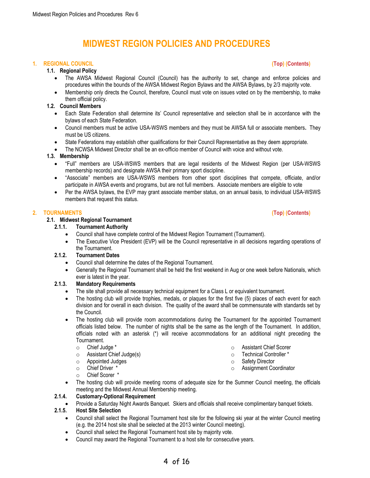# **MIDWEST REGION POLICIES AND PROCEDURES**

#### <span id="page-3-2"></span><span id="page-3-0"></span>**1. REGIONAL COUNCIL [\(Top\)](#page-3-2) [\(Contents\)](#page-1-0)**

#### **1.1. Regional Policy**

- The AWSA Midwest Regional Council (Council) has the authority to set, change and enforce policies and procedures within the bounds of the AWSA Midwest Region Bylaws and the AWSA Bylaws, by 2/3 majority vote.
- Membership only directs the Council, therefore, Council must vote on issues voted on by the membership, to make them official policy.

#### **1.2. Council Members**

- Each State Federation shall determine its' Council representative and selection shall be in accordance with the bylaws of each State Federation.
- Council members must be active USA-WSWS members and they must be AWSA full or associate members**.** They must be US citizens.
- State Federations may establish other qualifications for their Council Representative as they deem appropriate.
- The NCWSA Midwest Director shall be an ex-officio member of Council with voice and without vote.

#### **1.3. Membership**

- "Full" members are USA-WSWS members that are legal residents of the Midwest Region (per USA-WSWS membership records) and designate AWSA their primary sport discipline.
- "Associate" members are USA-WSWS members from other sport disciplines that compete, officiate, and/or participate in AWSA events and programs, but are not full members. Associate members are eligible to vote
- Per the AWSA bylaws, the EVP may grant associate member status, on an annual basis, to individual USA-WSWS members that request this status.

#### <span id="page-3-1"></span>**2. TOURNAMENTS [\(Top\)](#page-3-2) [\(Contents\)](#page-1-0)**

#### **2.1. Midwest Regional Tournament**

- **2.1.1. Tournament Authority**
	- Council shall have complete control of the Midwest Region Tournament (Tournament).
	- The Executive Vice President (EVP) will be the Council representative in all decisions regarding operations of the Tournament.

#### **2.1.2. Tournament Dates**

- Council shall determine the dates of the Regional Tournament.
- Generally the Regional Tournament shall be held the first weekend in Aug or one week before Nationals, which ever is latest in the year.

#### **2.1.3. Mandatory Requirements**

- The site shall provide all necessary technical equipment for a Class L or equivalent tournament*.*
- The hosting club will provide trophies, medals, or plaques for the first five (5) places of each event for each division and for overall in each division. The quality of the award shall be commensurate with standards set by the Council.
- The hosting club will provide room accommodations during the Tournament for the appointed Tournament officials listed below. The number of nights shall be the same as the length of the Tournament. In addition, officials noted with an asterisk (\*) will receive accommodations for an additional night preceding the Tournament.
	- o Chief Judge \*
	- o Assistant Chief Judge(s)
	- o Appointed Judges
	- o Chief Driver \*
	- o Chief Scorer \*
- The hosting club will provide meeting rooms of adequate size for the Summer Council meeting, the officials meeting and the Midwest Annual Membership meeting.

#### **2.1.4. Customary-Optional Requirement**

• Provide a Saturday Night Awards Banquet. Skiers and officials shall receive complimentary banquet tickets.

#### **2.1.5. Host Site Selection**

- Council shall select the Regional Tournament host site for the following ski year at the winter Council meeting (e.g. the 2014 host site shall be selected at the 2013 winter Council meeting).
- Council shall select the Regional Tournament host site by majority vote.
- Council may award the Regional Tournament to a host site for consecutive years.
- o Assistant Chief Scorer
- o Technical Controller \*
- o Safety Director
- o Assignment Coordinator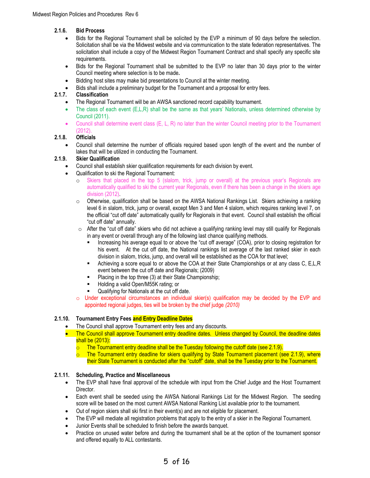#### **2.1.6. Bid Process**

- Bids for the Regional Tournament shall be solicited by the EVP a minimum of 90 days before the selection. Solicitation shall be via the Midwest website and via communication to the state federation representatives. The solicitation shall include a copy of the Midwest Region Tournament Contract and shall specify any specific site requirements.
- Bids for the Regional Tournament shall be submitted to the EVP no later than 30 days prior to the winter Council meeting where selection is to be made*.*
- Bidding host sites may make bid presentations to Council at the winter meeting.
- Bids shall include a preliminary budget for the Tournament and a proposal for entry fees.<br>
2.1.7. Classification

#### **2.1.7. Classification**

- The Regional Tournament will be an AWSA sanctioned record capability tournament.
- The class of each event (E,L,R) shall be the same as that years' Nationals, unless determined otherwise by Council (2011).
- Council shall determine event class (E, L, R) no later than the winter Council meeting prior to the Tournament (2012).

#### **2.1.8. Officials**

• Council shall determine the number of officials required based upon length of the event and the number of lakes that will be utilized in conducting the Tournament.

#### **2.1.9. Skier Qualification**

- Council shall establish skier qualification requirements for each division by event.
- Qualification to ski the Regional Tournament:
	- o Skiers that placed in the top 5 (slalom, trick, jump or overall) at the previous year's Regionals are automatically qualified to ski the current year Regionals, even if there has been a change in the skiers age division (2012).
	- $\circ$  Otherwise, qualification shall be based on the AWSA National Rankings List. Skiers achieving a ranking level 6 in slalom, trick, jump or overall, except Men 3 and Men 4 slalom, which requires ranking level 7, on the official "cut off date" automatically qualify for Regionals in that event. Council shall establish the official "cut off date" annually.
	- $\circ$  After the "cut off date" skiers who did not achieve a qualifying ranking level may still qualify for Regionals in any event or overall through any of the following last chance qualifying methods.
		- Increasing his average equal to or above the "cut off average" (COA), prior to closing registration for his event. At the cut off date, the National rankings list average of the last ranked skier in each division in slalom, tricks, jump, and overall will be established as the COA for that level;
		- **EXECT** Achieving a score equal to or above the COA at their State Championships or at any class C, E,L,R event between the cut off date and Regionals; (2009)
		- Placing in the top three (3) at their State Championship;
		- Holding a valid Open/M55K rating; or
		- Qualifying for Nationals at the cut off date.
	- $\circ$  Under exceptional circumstances an individual skier(s) qualification may be decided by the EVP and appointed regional judges, ties will be broken by the chief judge *(2010)*

#### **2.1.10. Tournament Entry Fees and Entry Deadline Dates**

- The Council shall approve Tournament entry fees and any discounts.
- The Council shall approve Tournament entry deadline dates. Unless changed by Council, the deadline dates shall be (2013):
	- The Tournament entry deadline shall be the Tuesday following the cutoff date (see 2.1.9).
	- $\circ$  The Tournament entry deadline for skiers qualifying by State Tournament placement (see 2.1.9), where their State Tournament is conducted after the "cutoff" date, shall be the Tuesday prior to the Tournament.

#### **2.1.11. Scheduling, Practice and Miscellaneous**

- The EVP shall have final approval of the schedule with input from the Chief Judge and the Host Tournament Director.
- Each event shall be seeded using the AWSA National Rankings List for the Midwest Region.The seeding score will be based on the most current AWSA National Ranking List available prior to the tournament.
- Out of region skiers shall ski first in their event(s) and are not eligible for placement.
- The EVP will mediate all registration problems that apply to the entry of a skier in the Regional Tournament.
- Junior Events shall be scheduled to finish before the awards banquet.
- Practice on unused water before and during the tournament shall be at the option of the tournament sponsor and offered equally to ALL contestants.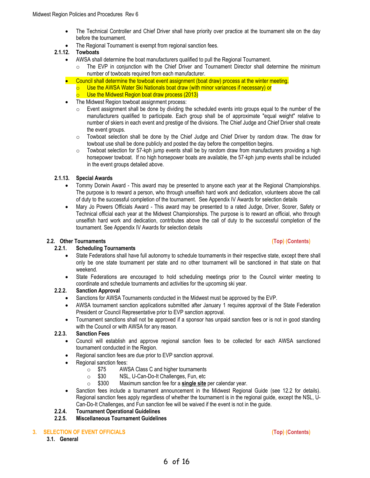- The Technical Controller and Chief Driver shall have priority over practice at the tournament site on the day before the tournament.
- The Regional Tournament is exempt from regional sanction fees.

#### **2.1.12. Towboats**

- AWSA shall determine the boat manufacturers qualified to pull the Regional Tournament.
	- o The EVP in conjunction with the Chief Driver and Tournament Director shall determine the minimum number of towboats required from each manufacturer.
- Council shall determine the towboat event assignment (boat draw) process at the winter meeting.
	- Use the AWSA Water Ski Nationals boat draw (with minor variances if necessary) or
	- $\circ$  Use the Midwest Region boat draw process (2013)
- The Midwest Region towboat assignment process:
	- $\circ$  Event assignment shall be done by dividing the scheduled events into groups equal to the number of the manufacturers qualified to participate. Each group shall be of approximate "equal weight" relative to number of skiers in each event and prestige of the divisions. The Chief Judge and Chief Driver shall create the event groups.
	- $\circ$  Towboat selection shall be done by the Chief Judge and Chief Driver by random draw. The draw for towboat use shall be done publicly and posted the day before the competition begins.
	- $\circ$  Towboat selection for 57-kph jump events shall be by random draw from manufacturers providing a high horsepower towboat. If no high horsepower boats are available, the 57-kph jump events shall be included in the event groups detailed above.

#### **2.1.13. Special Awards**

- Tommy Dorwin Award This award may be presented to anyone each year at the Regional Championships. The purpose is to reward a person, who through unselfish hard work and dedication, volunteers above the call of duty to the successful completion of the tournament. See Appendix IV Awards for selection details
- Mary Jo Powers Officials Award This award may be presented to a rated Judge, Driver, Scorer, Safety or Technical official each year at the Midwest Championships. The purpose is to reward an official, who through unselfish hard work and dedication, contributes above the call of duty to the successful completion of the tournament. See Appendix IV Awards for selection details

#### **2.2. Other Tournaments [\(Top\)](#page-3-2) [\(Contents\)](#page-1-0)**

#### **2.2.1. Scheduling Tournaments**

- State Federations shall have full autonomy to schedule tournaments in their respective state, except there shall only be one state tournament per state and no other tournament will be sanctioned in that state on that weekend.
- State Federations are encouraged to hold scheduling meetings prior to the Council winter meeting to coordinate and schedule tournaments and activities for the upcoming ski year.

#### **2.2.2. Sanction Approval**

- Sanctions for AWSA Tournaments conducted in the Midwest must be approved by the EVP.
- AWSA tournament sanction applications submitted after January 1 requires approval of the State Federation President or Council Representative prior to EVP sanction approval.
- Tournament sanctions shall not be approved if a sponsor has unpaid sanction fees or is not in good standing with the Council or with AWSA for any reason.

#### **2.2.3. Sanction Fees**

- Council will establish and approve regional sanction fees to be collected for each AWSA sanctioned tournament conducted in the Region.
- Regional sanction fees are due prior to EVP sanction approval.
- Regional sanction fees:
	- <p>\n<math>\circ</math> \$75 <br/>\n AWSA Class C and higher tournaments<br/>\n<math>\circ</math> \$30 <br/>\n NSL, U-Can-Do-It Challenge, Fun. etc\n</p>
	- NSL, U-Can-Do-It Challenges, Fun, etc
	- o \$300 Maximum sanction fee for a **single site** per calendar year.
- Sanction fees include a tournament announcement in the Midwest Regional Guide (see 12.2 for details). Regional sanction fees apply regardless of whether the tournament is in the regional guide, except the NSL, U-Can-Do-It Challenges, and Fun sanction fee will be waived if the event is not in the guide.

#### **2.2.4. Tournament Operational Guidelines**

**2.2.5. Miscellaneous Tournament Guidelines**

#### <span id="page-5-0"></span>**3. SELECTION OF EVENT OFFICIALS [\(Top\)](#page-3-2) [\(Contents\)](#page-1-0)**

**3.1. General**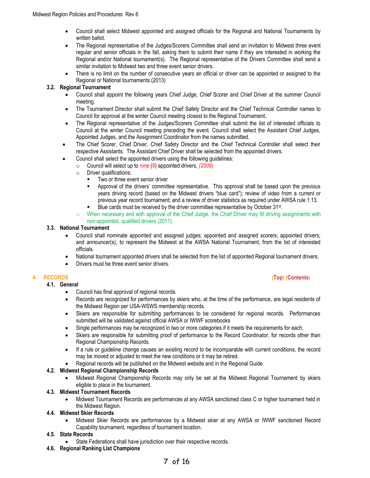- Council shall select Midwest appointed and assigned officials for the Regional and National Tournaments by written ballot.
- The Regional representative of the Judges/Scorers Committee shall send an invitation to Midwest three event regular and senior officials in the fall, asking them to submit their name if they are interested in working the Regional and/or National tournament(s). The Regional representative of the Drivers Committee shall send a similar invitation to Midwest two and three event senior drivers.
- There is no limit on the number of consecutive years an official or driver can be appointed or assigned to the Regional or National tournaments.(2013)

#### **3.2. Regional Tournament**

- Council shall appoint the following years Chief Judge, Chief Scorer and Chief Driver at the summer Council meeting.
- The Tournament Director shall submit the Chief Safety Director and the Chief Technical Controller names to Council for approval at the winter Council meeting closest to the Regional Tournament**.**
- The Regional representative of the Judges/Scorers Committee shall submit the list of interested officials to Council at the winter Council meeting preceding the event. Council shall select the Assistant Chief Judges, Appointed Judges, and the Assignment Coordinator from the names submitted.
- The Chief Scorer, Chief Driver, Chief Safety Director and the Chief Technical Controller shall select their respective Assistants. The Assistant Chief Driver shall be selected from the appointed drivers.
- Council shall select the appointed drivers using the following guidelines:
- o Council will select up to nine (9) appointed drivers, *(2009).*
	- o Driver qualifications:
		- Two or three event senior driver
		- Approval of the [drivers' committee](mailto:jbeebe1@cox.net) representative. This approval shall be based upon the previous years driving record (based on the Midwest drivers "blue card"); review of video from a current or previous year record tournament; and a review of driver statistics as required under AWSA rule 1.13.
		- Blue cards must be received by the driver committee representative by October 31<sup>st</sup>.
	- o When necessary and with approval of the Chief Judge, the Chief Driver may fill driving assignments with non-appointed, qualified drivers (2011).

#### **3.3. National Tournament**

- Council shall nominate appointed and assigned judges; appointed and assigned scorers; appointed drivers; and announcer(s), to represent the Midwest at the AWSA National Tournament, from the list of interested officials.
- National tournament appointed drivers shall be selected from the list of appointed Regional tournament drivers.
- Drivers must be three event senior drivers.

**4.1. General**

- Council has final approval of regional records.
- Records are recognized for performances by skiers who, at the time of the performance, are legal residents of the Midwest Region per USA-WSWS membership records.
- Skiers are responsible for submitting performances to be considered for regional records. Performances submitted will be validated against official AWSA or IWWF scorebooks
- Single performances may be recognized in two or more categories if it meets the requirements for each.
- Skiers are responsible for submitting proof of performance to the Record Coordinator, for records other than Regional Championship Records.
- If a rule or guideline change causes an existing record to be incomparable with current conditions, the record may be moved or adjusted to meet the new conditions or it may be retired.
- Regional records will be published on the Midwest website and in the Regional Guide.

#### **4.2. Midwest Regional Championship Records**

• Midwest Regional Championship Records may only be set at the Midwest Regional Tournament by skiers eligible to place in the tournament.

#### **4.3. Midwest Tournament Records**

• Midwest Tournament Records are performances at any AWSA sanctioned class C or higher tournament held in the Midwest Region.

#### **4.4. Midwest Skier Records**

• Midwest Skier Records are performances by a Midwest skier at any AWSA or IWWF sanctioned Record Capability tournament, regardless of tournament location.

#### **4.5. State Records**

- State Federations shall have jurisdiction over their respective records.
- **4.6. Regional Ranking List Champions**

### 7 of 16

#### <span id="page-6-0"></span>**4. RECORDS [\(Top\)](#page-3-2) [\(Contents\)](#page-1-0)**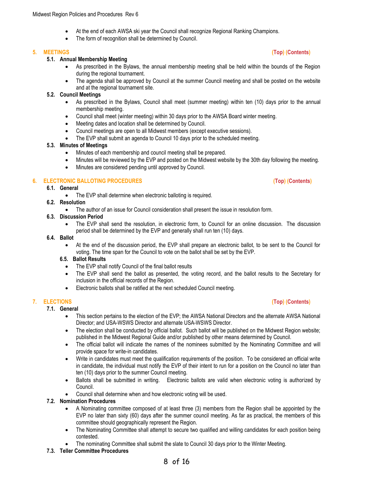- At the end of each AWSA ski year the Council shall recognize Regional Ranking Champions.
- The form of recognition shall be determined by Council.

#### **5.1. Annual Membership Meeting**

- As prescribed in the Bylaws, the annual membership meeting shall be held within the bounds of the Region during the regional tournament.
- The agenda shall be approved by Council at the summer Council meeting and shall be posted on the website and at the regional tournament site.

#### **5.2. Council Meetings**

- As prescribed in the Bylaws, Council shall meet (summer meeting) within ten (10) days prior to the annual membership meeting.
- Council shall meet (winter meeting) within 30 days prior to the AWSA Board winter meeting.
- Meeting dates and location shall be determined by Council.
- Council meetings are open to all Midwest members (except executive sessions).
- The EVP shall submit an agenda to Council 10 days prior to the scheduled meeting.

#### **5.3. Minutes of Meetings**

- Minutes of each membership and council meeting shall be prepared.
- Minutes will be reviewed by the EVP and posted on the Midwest website by the 30th day following the meeting.
- Minutes are considered pending until approved by Council.

#### <span id="page-7-1"></span>**6. ELECTRONIC BALLOTING PROCEDURES [\(Top\)](#page-3-2) [\(Contents\)](#page-1-0)**

#### **6.1. General**

• The EVP shall determine when electronic balloting is required.

#### **6.2. Resolution**

• The author of an issue for Council consideration shall present the issue in resolution form.

#### **6.3. Discussion Period**

• The EVP shall send the resolution, in electronic form, to Council for an online discussion. The discussion period shall be determined by the EVP and generally shall run ten (10) days.

#### **6.4. Ballot**

• At the end of the discussion period, the EVP shall prepare an electronic ballot, to be sent to the Council for voting. The time span for the Council to vote on the ballot shall be set by the EVP.

#### **6.5. Ballot Results**

- The EVP shall notify Council of the final ballot results
- The EVP shall send the ballot as presented, the voting record, and the ballot results to the Secretary for inclusion in the official records of the Region.
- Electronic ballots shall be ratified at the next scheduled Council meeting.

#### <span id="page-7-2"></span>**7. ELECTIONS [\(Top\)](#page-3-2) [\(Contents\)](#page-1-0)**

#### **7.1. General**

- This section pertains to the election of the EVP; the AWSA National Directors and the alternate AWSA National Director; and USA-WSWS Director and alternate USA-WSWS Director.
- The election shall be conducted by official ballot. Such ballot will be published on the Midwest Region website; published in the Midwest Regional Guide and/or published by other means determined by Council.
- The official ballot will indicate the names of the nominees submitted by the Nominating Committee and will provide space for write-in candidates.
- Write in candidates must meet the qualification requirements of the position. To be considered an official write in candidate, the individual must notify the EVP of their intent to run for a position on the Council no later than ten (10) days prior to the summer Council meeting.
- Ballots shall be submitted in writing. Electronic ballots are valid when electronic voting is authorized by Council.
- Council shall determine when and how electronic voting will be used.

#### **7.2. Nomination Procedures**

- A Nominating committee composed of at least three (3) members from the Region shall be appointed by the EVP no later than sixty (60) days after the summer council meeting. As far as practical, the members of this committee should geographically represent the Region.
- The Nominating Committee shall attempt to secure two qualified and willing candidates for each position being contested.
- The nominating Committee shall submit the slate to Council 30 days prior to the Winter Meeting.

#### **7.3. Teller Committee Procedures**

#### <span id="page-7-0"></span>**5. MEETINGS [\(Top\)](#page-3-2) [\(Contents\)](#page-1-0)**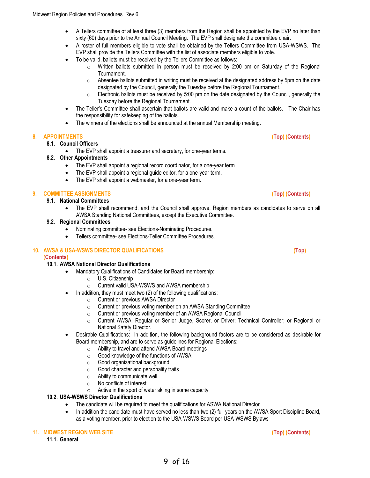- A Tellers committee of at least three (3) members from the Region shall be appointed by the EVP no later than sixty (60) days prior to the Annual Council Meeting. The EVP shall designate the committee chair.
- A roster of full members eligible to vote shall be obtained by the Tellers Committee from USA-WSWS. The EVP shall provide the Tellers Committee with the list of associate members eligible to vote.
- To be valid, ballots must be received by the Tellers Committee as follows:
	- $\circ$  Written ballots submitted in person must be received by 2:00 pm on Saturday of the Regional Tournament.
	- $\circ$  Absentee ballots submitted in writing must be received at the designated address by 5pm on the date designated by the Council, generally the Tuesday before the Regional Tournament.
	- $\circ$  Electronic ballots must be received by 5:00 pm on the date designated by the Council, generally the Tuesday before the Regional Tournament.
- The Teller's Committee shall ascertain that ballots are valid and make a count of the ballots. The Chair has the responsibility for safekeeping of the ballots.
- The winners of the elections shall be announced at the annual Membership meeting.

#### <span id="page-8-0"></span>**8. APPOINTMENTS [\(Top\)](#page-3-2) [\(Contents\)](#page-1-0)**

#### **8.1. Council Officers**

• The EVP shall appoint a treasurer and secretary, for one-year terms.

#### **8.2. Other Appointments**

- The EVP shall appoint a regional record coordinator, for a one-year term.
- The EVP shall appoint a regional guide editor, for a one-year term.
- The EVP shall appoint a webmaster, for a one-year term.

#### <span id="page-8-1"></span>**9. COMMITTEE ASSIGNMENTS [\(Top\)](#page-3-2) [\(Contents\)](#page-1-0)**

#### **9.1. National Committees**

• The EVP shall recommend, and the Council shall approve, Region members as candidates to serve on all AWSA Standing National Committees, except the Executive Committee.

#### **9.2. Regional Committees**

- Nominating committee- see Elections-Nominating Procedures.
- Tellers committee- see Elections-Teller Committee Procedures.

#### <span id="page-8-2"></span>**10. AWSA & USA-WSWS DIRECTOR QUALIFICATIONS [\(Top\)](#page-3-2)**

#### **[\(Contents\)](#page-1-0)**

#### **10.1. AWSA National Director Qualifications**

- Mandatory Qualifications of Candidates for Board membership:
	- o U.S. Citizenship
	- o Current valid USA-WSWS and AWSA membership
- In addition, they must meet two (2) of the following qualifications:
	- o Current or previous AWSA Director
	- o Current or previous voting member on an AWSA Standing Committee
	- o Current or previous voting member of an AWSA Regional Council
	- o Current AWSA: Regular or Senior Judge, Scorer, or Driver; Technical Controller; or Regional or National Safety Director.
- Desirable Qualifications: In addition, the following background factors are to be considered as desirable for Board membership, and are to serve as guidelines for Regional Elections:
	- o Ability to travel and attend AWSA Board meetings
	- o Good knowledge of the functions of AWSA
	- o Good organizational background
	- o Good character and personality traits
	- o Ability to communicate well
	- o No conflicts of interest
	- $\circ$  Active in the sport of water skiing in some capacity

#### **10.2. USA-WSWS Director Qualifications**

• The candidate will be required to meet the qualifications for ASWA National Director.

9 of 16

• In addition the candidate must have served no less than two (2) full years on the AWSA Sport Discipline Board, as a voting member, prior to election to the USA-WSWS Board per USA-WSWS Bylaws

#### <span id="page-8-3"></span>**11. MIDWEST REGION WEB SITE [\(Top\)](#page-3-2) [\(Contents\)](#page-1-0)**

**11.1. General**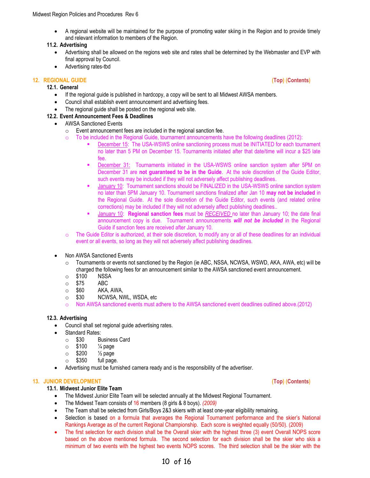• A regional website will be maintained for the purpose of promoting water skiing in the Region and to provide timely and relevant information to members of the Region.

#### **11.2. Advertising**

- Advertising shall be allowed on the regions web site and rates shall be determined by the Webmaster and EVP with final approval by Council.
- Advertising rates-tbd

#### <span id="page-9-0"></span>**12. REGIONAL GUIDE [\(Top\)](#page-3-2) [\(Contents\)](#page-1-0)**

#### **12.1. General**

- If the regional guide is published in hardcopy, a copy will be sent to all Midwest AWSA members.
- Council shall establish event announcement and advertising fees.
- The regional guide shall be posted on the regional web site.

#### **12.2. Event Announcement Fees & Deadlines**

- AWSA Sanctioned Events
	- $\circ$  Event announcement fees are included in the regional sanction fee.
	- $\circ$  To be included in the Regional Guide, tournament announcements have the following deadlines (2012):
		- December 15: The USA-WSWS online sanctioning process must be INITIATED for each tournament no later than 5 PM on December 15. Tournaments initiated after that date/time will incur a \$25 late fee.
		- December 31: Tournaments initiated in the USA-WSWS online sanction system after 5PM on December 31 are **not guaranteed to be in the Guide**. At the sole discretion of the Guide Editor, such events may be included if they will not adversely affect publishing deadlines.
		- **■** January 10: Tournament sanctions should be FINALIZED in the USA-WSWS online sanction system no later than 5PM January 10. Tournament sanctions finalized after Jan 10 **may not be included** in the Regional Guide. At the sole discretion of the Guide Editor, such events (and related online corrections) may be included if they will not adversely affect publishing deadlines..
		- January 10: **Regional sanction fees** must be *RECEIVED* no later than January 10; the date final announcement copy is due. Tournament announcements *will not be included* in the Regional Guide if sanction fees are received after January 10.
	- $\circ$  The Guide Editor is authorized, at their sole discretion, to modify any or all of these deadlines for an individual event or all events, so long as they will not adversely affect publishing deadlines.
- Non AWSA Sanctioned Events
	- $\circ$  Tournaments or events not sanctioned by the Region (ie ABC, NSSA, NCWSA, WSWD, AKA, AWA, etc) will be charged the following fees for an announcement similar to the AWSA sanctioned event announcement.
	- o \$100 NSSA
	- o \$75 ABC
	- $\circ$  \$60 AKA, AWA,<br> $\circ$  \$30 NCWSA, N'
	- NCWSA, NWL, WSDA, etc
	- o Non AWSA sanctioned events must adhere to the AWSA sanctioned event deadlines outlined above.(2012)

#### **12.3. Advertising**

- Council shall set regional guide advertising rates.
- Standard Rates:
	- o \$30 Business Card
	- $\circ$  \$100  $\frac{1}{4}$  page
	- $\circ$  \$200  $\frac{1}{2}$  page
	- o \$350 full page.
- Advertising must be furnished camera ready and is the responsibility of the advertiser.

#### <span id="page-9-1"></span>**13. JUNIOR DEVELOPMENT [\(Top\)](#page-3-2) [\(Contents\)](#page-1-0)**

#### **13.1. Midwest Junior Elite Team**

- The Midwest Junior Elite Team will be selected annually at the Midwest Regional Tournament.
- The Midwest Team consists of 16 members (8 girls & 8 boys). *(2009)*
- The Team shall be selected from Girls/Boys 2&3 skiers with at least one-year eligibility remaining.
- Selection is based on a formula that averages the Regional Tournament performance and the skier's National Rankings Average as of the current Regional Championship. Each score is weighted equally (50/50). (2009)
- The first selection for each division shall be the Overall skier with the highest three (3) event Overall NOPS score based on the above mentioned formula. The second selection for each division shall be the skier who skis a minimum of two events with the highest two events NOPS scores. The third selection shall be the skier with the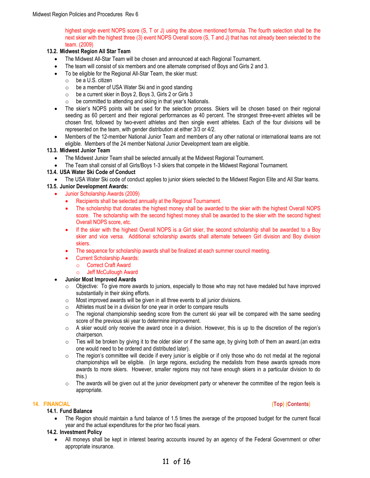highest single event NOPS score (S, T or J) using the above mentioned formula. The fourth selection shall be the next skier with the highest three (3) event NOPS Overall score (S, T and J) that has not already been selected to the team. (2009)

#### **13.2. Midwest Region All Star Team**

- The Midwest All-Star Team will be chosen and announced at each Regional Tournament.
- The team will consist of six members and one alternate comprised of Boys and Girls 2 and 3.
- To be eligible for the Regional All-Star Team, the skier must:
	- o be a U.S. citizen
	- $\circ$  be a member of USA Water Ski and in good standing
	- o be a current skier in Boys 2, Boys 3, Girls 2 or Girls 3
	- o be committed to attending and skiing in that year's Nationals.
- The skier's NOPS points will be used for the selection process. Skiers will be chosen based on their regional seeding as 60 percent and their regional performances as 40 percent. The strongest three-event athletes will be chosen first, followed by two-event athletes and then single event athletes. Each of the four divisions will be represented on the team, with gender distribution at either 3/3 or 4/2.
- Members of the 12-member National Junior Team and members of any other national or international teams are not eligible. Members of the 24 member National Junior Development team are eligible.

#### **13.3. Midwest Junior Team**

- The Midwest Junior Team shall be selected annually at the Midwest Regional Tournament.
- The Team shall consist of all Girls/Boys 1-3 skiers that compete in the Midwest Regional Tournament.

#### **13.4. USA Water Ski Code of Conduct**

• The USA Water Ski code of conduct applies to junior skiers selected to the Midwest Region Elite and All Star teams.

#### **13.5. Junior Development Awards:**

- Junior Scholarship Awards (2009)
	- Recipients shall be selected annually at the Regional Tournament.
	- The scholarship that donates the highest money shall be awarded to the skier with the highest Overall NOPS score. The scholarship with the second highest money shall be awarded to the skier with the second highest Overall NOPS score, etc.
	- If the skier with the highest Overall NOPS is a Girl skier, the second scholarship shall be awarded to a Boy skier and vice versa. Additional scholarship awards shall alternate between Girl division and Boy division skiers.
	- The sequence for scholarship awards shall be finalized at each summer council meeting.
		- Current Scholarship Awards:
			- o Correct Craft Award
			- o Jeff McCullough Award

#### • **Junior Most Improved Awards**

- o Objective: To give more awards to juniors, especially to those who may not have medaled but have improved substantially in their skiing efforts.
- $\circ$  Most improved awards will be given in all three events to all junior divisions.
- $\circ$  Athletes must be in a division for one year in order to compare results
- $\circ$  The regional championship seeding score from the current ski year will be compared with the same seeding score of the previous ski year to determine improvement.
- $\circ$  A skier would only receive the award once in a division. However, this is up to the discretion of the region's chairperson.
- $\circ$  Ties will be broken by giving it to the older skier or if the same age, by giving both of them an award.(an extra one would need to be ordered and distributed later).
- o The region's committee will decide if every junior is eligible or if only those who do not medal at the regional championships will be eligible. (In large regions, excluding the medalists from these awards spreads more awards to more skiers. However, smaller regions may not have enough skiers in a particular division to do this.)
- $\circ$  The awards will be given out at the junior development party or whenever the committee of the region feels is appropriate.

#### **14.1. Fund Balance**

• The Region should maintain a fund balance of 1.5 times the average of the proposed budget for the current fiscal year and the actual expenditures for the prior two fiscal years.

#### **14.2. Investment Policy**

• All moneys shall be kept in interest bearing accounts insured by an agency of the Federal Government or other appropriate insurance.

#### <span id="page-10-0"></span>**14. FINANCIAL [\(Top\)](#page-3-2) [\(Contents\)](#page-1-0)**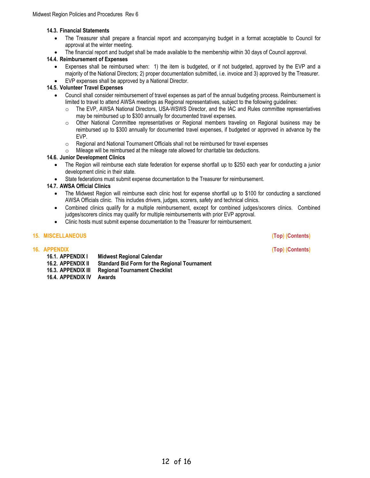#### **14.3. Financial Statements**

- The Treasurer shall prepare a financial report and accompanying budget in a format acceptable to Council for approval at the winter meeting.
- The financial report and budget shall be made available to the membership within 30 days of Council approval.

#### **14.4. Reimbursement of Expenses**

• Expenses shall be reimbursed when: 1) the item is budgeted, or if not budgeted, approved by the EVP and a majority of the National Directors; 2) proper documentation submitted, i.e. invoice and 3) approved by the Treasurer. • EVP expenses shall be approved by a National Director.

#### **14.5. Volunteer Travel Expenses**

- Council shall consider reimbursement of travel expenses as part of the annual budgeting process. Reimbursement is limited to travel to attend AWSA meetings as Regional representatives, subject to the following guidelines:
	- o The EVP, AWSA National Directors, USA-WSWS Director, and the IAC and Rules committee representatives may be reimbursed up to \$300 annually for documented travel expenses.
	- o Other National Committee representatives or Regional members traveling on Regional business may be reimbursed up to \$300 annually for documented travel expenses, if budgeted or approved in advance by the EVP.
	- o Regional and National Tournament Officials shall not be reimbursed for travel expenses
	- o Mileage will be reimbursed at the mileage rate allowed for charitable tax deductions.

#### **14.6. Junior Development Clinics**

- The Region will reimburse each state federation for expense shortfall up to \$250 each year for conducting a junior development clinic in their state.
- State federations must submit expense documentation to the Treasurer for reimbursement.

#### **14.7. AWSA Official Clinics**

- The Midwest Region will reimburse each clinic host for expense shortfall up to \$100 for conducting a sanctioned AWSA Officials clinic. This includes drivers, judges, scorers, safety and technical clinics.
- Combined clinics qualify for a multiple reimbursement, except for combined judges/scorers clinics. Combined judges/scorers clinics may qualify for multiple reimbursements with prior EVP approval.
- Clinic hosts must submit expense documentation to the Treasurer for reimbursement.

#### <span id="page-11-1"></span><span id="page-11-0"></span>**15. MISCELLANEOUS [\(Top\)](#page-3-2) [\(Contents\)](#page-1-0)**

**16. APPENDIX [\(Top\)](#page-3-2) [\(Contents\)](#page-1-0)**

**16.1. APPENDIX I Midwest Regional Calendar 16.2. APPENDIX II Standard Bid Form for the Regional Tournament 16.3. APPENDIX III Regional Tournament Checklist 16.4. APPENDIX IV Awards**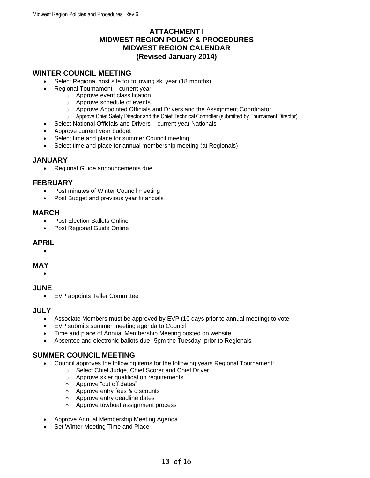### **ATTACHMENT I MIDWEST REGION POLICY & PROCEDURES MIDWEST REGION CALENDAR (Revised January 2014)**

### **WINTER COUNCIL MEETING**

- Select Regional host site for following ski year (18 months)
- Regional Tournament current year
	- o Approve event classification
		- o Approve schedule of events
		- o Approve Appointed Officials and Drivers and the Assignment Coordinator
	- o Approve Chief Safety Director and the Chief Technical Controller (submitted by Tournament Director)
- Select National Officials and Drivers current year Nationals
- Approve current year budget
- Select time and place for summer Council meeting
- Select time and place for annual membership meeting (at Regionals)

#### **JANUARY**

• Regional Guide announcements due

#### **FEBRUARY**

- Post minutes of Winter Council meeting
- Post Budget and previous year financials

#### **MARCH**

- Post Election Ballots Online
- Post Regional Guide Online

#### **APRIL**

#### •

#### **MAY**

#### •

### **JUNE**

• EVP appoints Teller Committee

### **JULY**

- Associate Members must be approved by EVP (10 days prior to annual meeting) to vote
- EVP submits summer meeting agenda to Council
- Time and place of Annual Membership Meeting posted on website.
- Absentee and electronic ballots due--5pm the Tuesday prior to Regionals

## **SUMMER COUNCIL MEETING**

- Council approves the following items for the following years Regional Tournament:
	- o Select Chief Judge, Chief Scorer and Chief Driver
	- o Approve skier qualification requirements
	- o Approve "cut off dates"
	- o Approve entry fees & discounts
	- o Approve entry deadline dates
	- o Approve towboat assignment process
- Approve Annual Membership Meeting Agenda
- **Set Winter Meeting Time and Place**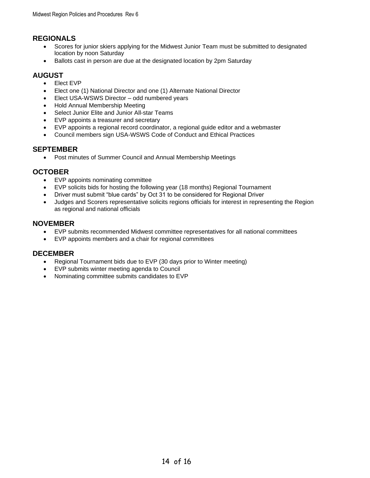### **REGIONALS**

- Scores for junior skiers applying for the Midwest Junior Team must be submitted to designated location by noon Saturday
- Ballots cast in person are due at the designated location by 2pm Saturday

### **AUGUST**

- Elect EVP
- Elect one (1) National Director and one (1) Alternate National Director
- Elect USA-WSWS Director odd numbered years
- Hold Annual Membership Meeting
- Select Junior Elite and Junior All-star Teams
- EVP appoints a treasurer and secretary
- EVP appoints a regional record coordinator, a regional guide editor and a webmaster
- Council members sign USA-WSWS Code of Conduct and Ethical Practices

#### **SEPTEMBER**

• Post minutes of Summer Council and Annual Membership Meetings

### **OCTOBER**

- EVP appoints nominating committee
- EVP solicits bids for hosting the following year (18 months) Regional Tournament
- Driver must submit "blue cards" by Oct 31 to be considered for Regional Driver
- Judges and Scorers representative solicits regions officials for interest in representing the Region as regional and national officials

### **NOVEMBER**

- EVP submits recommended Midwest committee representatives for all national committees
- EVP appoints members and a chair for regional committees

#### **DECEMBER**

- Regional Tournament bids due to EVP (30 days prior to Winter meeting)
- EVP submits winter meeting agenda to Council
- Nominating committee submits candidates to EVP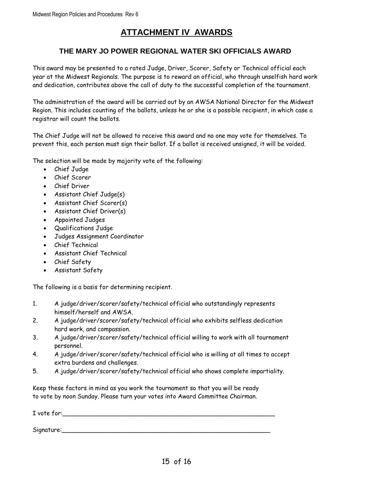# **ATTACHMENT IV AWARDS**

### **THE MARY JO POWER REGIONAL WATER SKI OFFICIALS AWARD**

This award may be presented to a rated Judge, Driver, Scorer, Safety or Technical official each year at the Midwest Regionals. The purpose is to reward an official, who through unselfish hard work and dedication, contributes above the call of duty to the successful completion of the tournament.

The administration of the award will be carried out by an AWSA National Director for the Midwest Region. This includes counting of the ballots, unless he or she is a possible recipient, in which case a registrar will count the ballots.

The Chief Judge will not be allowed to receive this award and no one may vote for themselves. To prevent this, each person must sign their ballot. If a ballot is received unsigned, it will be voided.

The selection will be made by majority vote of the following:

- Chief Judge
- Chief Scorer
- Chief Driver
- Assistant Chief Judge(s)
- Assistant Chief Scorer(s)
- Assistant Chief Driver(s)
- Appointed Judges
- Qualifications Judge
- Judges Assignment Coordinator
- Chief Technical
- Assistant Chief Technical
- Chief Safety
- Assistant Safety

The following is a basis for determining recipient.

- 1. A judge/driver/scorer/safety/technical official who outstandingly represents himself/herself and AWSA.
- 2. A judge/driver/scorer/safety/technical official who exhibits selfless dedication hard work, and compassion.
- 3. A judge/driver/scorer/safety/technical official willing to work with all tournament personnel.
- 4. A judge/driver/scorer/safety/technical official who is willing at all times to accept extra burdens and challenges.
- 5. A judge/driver/scorer/safety/technical official who shows complete impartiality.

Keep these factors in mind as you work the tournament so that you will be ready to vote by noon Sunday. Please turn your votes into Award Committee Chairman.

| I vote for: |  |  |  |
|-------------|--|--|--|
|             |  |  |  |
| Signature:  |  |  |  |